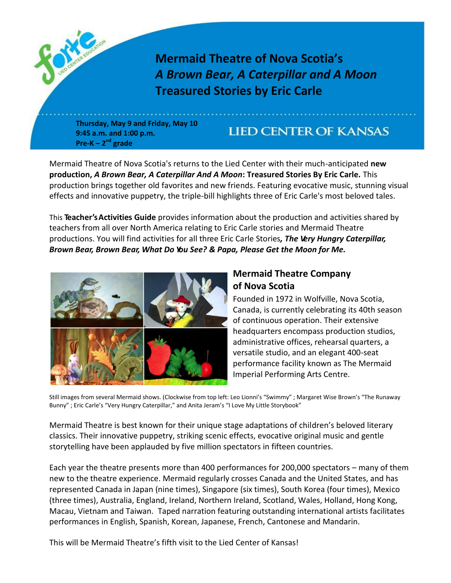

**Thursday, May 9 and Friday, May 10 9:45 a.m. and 1:00 p.m. Pre-K – 2 nd grade**

### **LIED CENTER OF KANSAS**

Mermaid Theatre of Nova Scotia's returns to the Lied Center with their much-anticipated **new production,** *A Brown Bear, A Caterpillar And A Moon***: Treasured Stories By Eric Carle.** This production brings together old favorites and new friends. Featuring evocative music, stunning visual effects and innovative puppetry, the triple-bill highlights three of Eric Carle's most beloved tales.

This **Teacher'sActivities Guide** provides information about the production and activities shared by teachers from all over North America relating to Eric Carle stories and Mermaid Theatre productions. You will find activities for all three Eric Carle Stories*, The Very Hungry Caterpillar, Brown Bear, Brown Bear, What Do You See? & Papa, Please Get the Moon for Me.*



### **Mermaid Theatre Company of Nova Scotia**

Founded in 1972 in Wolfville, Nova Scotia, Canada, is currently celebrating its 40th season of continuous operation. Their extensive headquarters encompass production studios, administrative offices, rehearsal quarters, a versatile studio, and an elegant 400-seat performance facility known as The Mermaid Imperial Performing Arts Centre.

Still images from several Mermaid shows. (Clockwise from top left: Leo Lionni's "Swimmy" ; Margaret Wise Brown's "The Runaway Bunny" ; Eric Carle's "Very Hungry Caterpillar," and Anita Jeram's "I Love My Little Storybook"

Mermaid Theatre is best known for their unique stage adaptations of children's beloved literary classics. Their innovative puppetry, striking scenic effects, evocative original music and gentle storytelling have been applauded by five million spectators in fifteen countries.

Each year the theatre presents more than 400 performances for 200,000 spectators – many of them new to the theatre experience. Mermaid regularly crosses Canada and the United States, and has represented Canada in Japan (nine times), Singapore (six times), South Korea (four times), Mexico (three times), Australia, England, Ireland, Northern Ireland, Scotland, Wales, Holland, Hong Kong, Macau, Vietnam and Taiwan. Taped narration featuring outstanding international artists facilitates performances in English, Spanish, Korean, Japanese, French, Cantonese and Mandarin.

This will be Mermaid Theatre's fifth visit to the Lied Center of Kansas!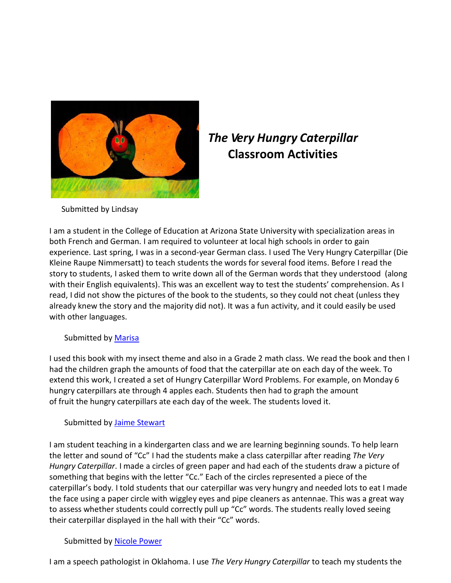

## *The Very Hungry Caterpillar* **Classroom Activities**

Submitted by Lindsay

I am a student in the College of Education at Arizona State University with specialization areas in both French and German. I am required to volunteer at local high schools in order to gain experience. Last spring, I was in a second-year German class. I used The Very Hungry Caterpillar (Die Kleine Raupe Nimmersatt) to teach students the words for several food items. Before I read the story to students, I asked them to write down all of the German words that they understood (along with their English equivalents). This was an excellent way to test the students' comprehension. As I read, I did not show the pictures of the book to the students, so they could not cheat (unless they already knew the story and the majority did not). It was a fun activity, and it could easily be used with other languages.

Submitted by [Marisa](mailto:sparsa77@hotmail.com)

I used this book with my insect theme and also in a Grade 2 math class. We read the book and then I had the children graph the amounts of food that the caterpillar ate on each day of the week. To extend this work, I created a set of Hungry Caterpillar Word Problems. For example, on Monday 6 hungry caterpillars ate through 4 apples each. Students then had to graph the amount of fruit the hungry caterpillars ate each day of the week. The students loved it.

#### Submitted by Jaime [Stewart](mailto:jds8r@virginia.edu)

I am student teaching in a kindergarten class and we are learning beginning sounds. To help learn the letter and sound of "Cc" I had the students make a class caterpillar after reading *The Very Hungry Caterpillar*. I made a circles of green paper and had each of the students draw a picture of something that begins with the letter "Cc." Each of the circles represented a piece of the caterpillar's body. I told students that our caterpillar was very hungry and needed lots to eat I made the face using a paper circle with wiggley eyes and pipe cleaners as antennae. This was a great way to assess whether students could correctly pull up "Cc" words. The students really loved seeing their caterpillar displayed in the hall with their "Cc" words.

#### Submitted by [Nicole Power](mailto:nicpower@webzone.net)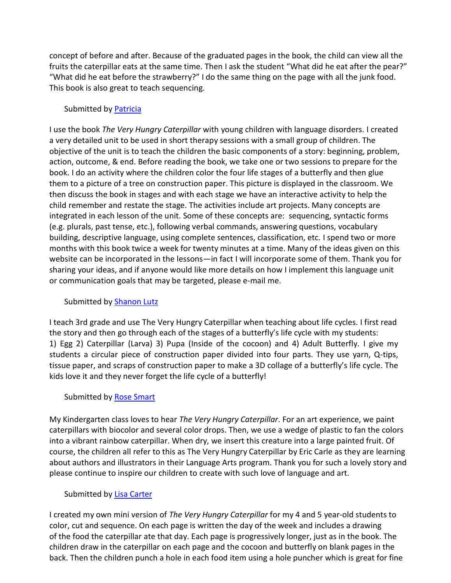concept of before and after. Because of the graduated pages in the book, the child can view all the fruits the caterpillar eats at the same time. Then I ask the student "What did he eat after the pear?" "What did he eat before the strawberry?" I do the same thing on the page with all the junk food. This book is also great to teach sequencing.

#### Submitted by [Patricia](mailto:am94@email.byu.edu)

I use the book *The Very Hungry Caterpillar* with young children with language disorders. I created a very detailed unit to be used in short therapy sessions with a small group of children. The objective of the unit is to teach the children the basic components of a story: beginning, problem, action, outcome, & end. Before reading the book, we take one or two sessions to prepare for the book. I do an activity where the children color the four life stages of a butterfly and then glue them to a picture of a tree on construction paper. This picture is displayed in the classroom. We then discuss the book in stages and with each stage we have an interactive activity to help the child remember and restate the stage. The activities include art projects. Many concepts are integrated in each lesson of the unit. Some of these concepts are: sequencing, syntactic forms (e.g. plurals, past tense, etc.), following verbal commands, answering questions, vocabulary building, descriptive language, using complete sentences, classification, etc. I spend two or more months with this book twice a week for twenty minutes at a time. Many of the ideas given on this website can be incorporated in the lessons—in fact I will incorporate some of them. Thank you for sharing your ideas, and if anyone would like more details on how I implement this language unit or communication goals that may be targeted, please e-mail me.

#### Submitted by [Shanon](mailto:shanon_lutz@gwinnett.k12.ga.us) Lutz

I teach 3rd grade and use The Very Hungry Caterpillar when teaching about life cycles. I first read the story and then go through each of the stages of a butterfly's life cycle with my students: 1) Egg 2) Caterpillar (Larva) 3) Pupa (Inside of the cocoon) and 4) Adult Butterfly. I give my students a circular piece of construction paper divided into four parts. They use yarn, Q-tips, tissue paper, and scraps of construction paper to make a 3D collage of a butterfly's life cycle. The kids love it and they never forget the life cycle of a butterfly!

#### Submitted by [Rose Smart](mailto:ransmart@aol.com)

My Kindergarten class loves to hear *The Very Hungry Caterpillar*. For an art experience, we paint caterpillars with biocolor and several color drops. Then, we use a wedge of plastic to fan the colors into a vibrant rainbow caterpillar. When dry, we insert this creature into a large painted fruit. Of course, the children all refer to this as The Very Hungry Caterpillar by Eric Carle as they are learning about authors and illustrators in their Language Arts program. Thank you for such a lovely story and please continue to inspire our children to create with such love of language and art.

#### Submitted by [Lisa Carter](mailto:cmjlcarter@aol.com)

I created my own mini version of *The Very Hungry Caterpillar* for my 4 and 5 year-old students to color, cut and sequence. On each page is written the day of the week and includes a drawing of the food the caterpillar ate that day. Each page is progressively longer, just as in the book. The children draw in the caterpillar on each page and the cocoon and butterfly on blank pages in the back. Then the children punch a hole in each food item using a hole puncher which is great for fine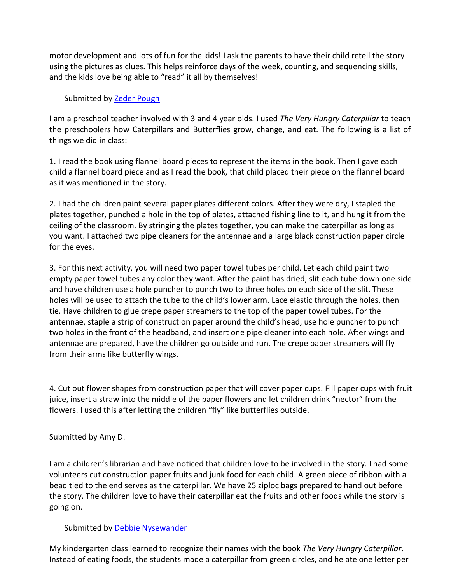motor development and lots of fun for the kids! I ask the parents to have their child retell the story using the pictures as clues. This helps reinforce days of the week, counting, and sequencing skills, and the kids love being able to "read" it all by themselves!

#### Submitted by [Zeder Pough](mailto:ckagwd@msn.com)

I am a preschool teacher involved with 3 and 4 year olds. I used *The Very Hungry Caterpillar* to teach the preschoolers how Caterpillars and Butterflies grow, change, and eat. The following is a list of things we did in class:

1. I read the book using flannel board pieces to represent the items in the book. Then I gave each child a flannel board piece and as I read the book, that child placed their piece on the flannel board as it was mentioned in the story.

2. I had the children paint several paper plates different colors. After they were dry, I stapled the plates together, punched a hole in the top of plates, attached fishing line to it, and hung it from the ceiling of the classroom. By stringing the plates together, you can make the caterpillar as long as you want. I attached two pipe cleaners for the antennae and a large black construction paper circle for the eyes.

3. For this next activity, you will need two paper towel tubes per child. Let each child paint two empty paper towel tubes any color they want. After the paint has dried, slit each tube down one side and have children use a hole puncher to punch two to three holes on each side of the slit. These holes will be used to attach the tube to the child's lower arm. Lace elastic through the holes, then tie. Have children to glue crepe paper streamers to the top of the paper towel tubes. For the antennae, staple a strip of construction paper around the child's head, use hole puncher to punch two holes in the front of the headband, and insert one pipe cleaner into each hole. After wings and antennae are prepared, have the children go outside and run. The crepe paper streamers will fly from their arms like butterfly wings.

4. Cut out flower shapes from construction paper that will cover paper cups. Fill paper cups with fruit juice, insert a straw into the middle of the paper flowers and let children drink "nector" from the flowers. I used this after letting the children "fly" like butterflies outside.

Submitted by Amy D.

I am a children's librarian and have noticed that children love to be involved in the story. I had some volunteers cut construction paper fruits and junk food for each child. A green piece of ribbon with a bead tied to the end serves as the caterpillar. We have 25 ziploc bags prepared to hand out before the story. The children love to have their caterpillar eat the fruits and other foods while the story is going on.

#### Submitted by [Debbie Nysewander](mailto:dnysewander@netscape.net)

My kindergarten class learned to recognize their names with the book *The Very Hungry Caterpillar*. Instead of eating foods, the students made a caterpillar from green circles, and he ate one letter per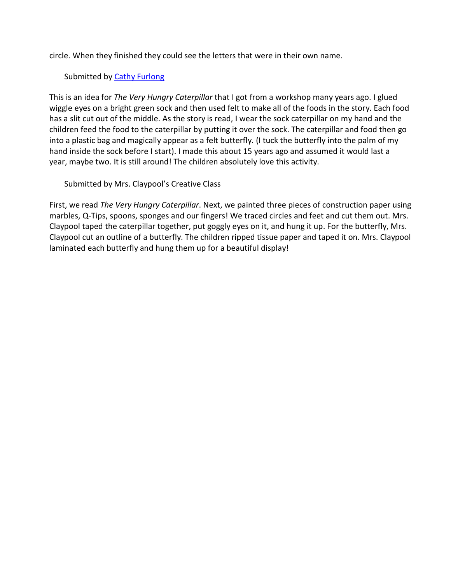circle. When they finished they could see the letters that were in their own name.

Submitted by Cathy [Furlong](mailto:laglong@aol.com)

This is an idea for *The Very Hungry Caterpillar* that I got from a workshop many years ago. I glued wiggle eyes on a bright green sock and then used felt to make all of the foods in the story. Each food has a slit cut out of the middle. As the story is read, I wear the sock caterpillar on my hand and the children feed the food to the caterpillar by putting it over the sock. The caterpillar and food then go into a plastic bag and magically appear as a felt butterfly. (I tuck the butterfly into the palm of my hand inside the sock before I start). I made this about 15 years ago and assumed it would last a year, maybe two. It is still around! The children absolutely love this activity.

Submitted by Mrs. Claypool's Creative Class

First, we read *The Very Hungry Caterpillar*. Next, we painted three pieces of construction paper using marbles, Q-Tips, spoons, sponges and our fingers! We traced circles and feet and cut them out. Mrs. Claypool taped the caterpillar together, put goggly eyes on it, and hung it up. For the butterfly, Mrs. Claypool cut an outline of a butterfly. The children ripped tissue paper and taped it on. Mrs. Claypool laminated each butterfly and hung them up for a beautiful display!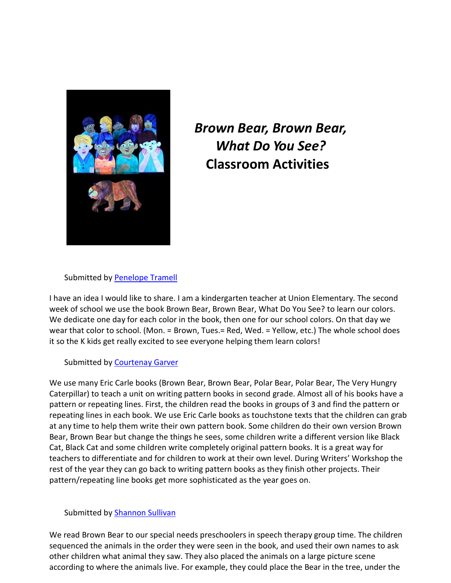

# *Brown Bear, Brown Bear, What Do You See?*  **Classroom Activities**

Submitted by [Penelope Tramell](mailto:pdgt1998@yahoo.com)

I have an idea I would like to share. I am a kindergarten teacher at Union Elementary. The second week of school we use the book Brown Bear, Brown Bear, What Do You See? to learn our colors. We dedicate one day for each color in the book, then one for our school colors. On that day we wear that color to school. (Mon. = Brown, Tues.= Red, Wed. = Yellow, etc.) The whole school does it so the K kids get really excited to see everyone helping them learn colors!

#### Submitted by [Courtenay](mailto:dgarver@nc.rr.com) Garver

We use many Eric Carle books (Brown Bear, Brown Bear, Polar Bear, Polar Bear, The Very Hungry Caterpillar) to teach a unit on writing pattern books in second grade. Almost all of his books have a pattern or repeating lines. First, the children read the books in groups of 3 and find the pattern or repeating lines in each book. We use Eric Carle books as touchstone texts that the children can grab at any time to help them write their own pattern book. Some children do their own version Brown Bear, Brown Bear but change the things he sees, some children write a different version like Black Cat, Black Cat and some children write completely original pattern books. It is a great way for teachers to differentiate and for children to work at their own level. During Writers' Workshop the rest of the year they can go back to writing pattern books as they finish other projects. Their pattern/repeating line books get more sophisticated as the year goes on.

#### Submitted by **Shannon Sullivan**

We read Brown Bear to our special needs preschoolers in speech therapy group time. The children sequenced the animals in the order they were seen in the book, and used their own names to ask other children what animal they saw. They also placed the animals on a large picture scene according to where the animals live. For example, they could place the Bear in the tree, under the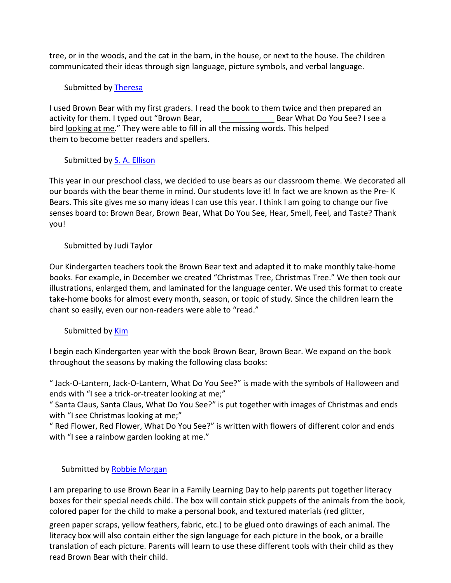tree, or in the woods, and the cat in the barn, in the house, or next to the house. The children communicated their ideas through sign language, picture symbols, and verbal language.

#### Submitted by [Theresa](mailto:Tandfu228@usa.net)

I used Brown Bear with my first graders. I read the book to them twice and then prepared an activity for them. I typed out "Brown Bear, Bear What Do You See? I see a bird looking at me." They were able to fill in all the missing words. This helped them to become better readers and spellers.

#### Submitted by [S. A. Ellison](mailto:SAE2U@AOL.COM)

This year in our preschool class, we decided to use bears as our classroom theme. We decorated all our boards with the bear theme in mind. Our students love it! In fact we are known as the Pre- K Bears. This site gives me so many ideas I can use this year. I think I am going to change our five senses board to: Brown Bear, Brown Bear, What Do You See, Hear, Smell, Feel, and Taste? Thank you!

#### Submitted by Judi Taylor

Our Kindergarten teachers took the Brown Bear text and adapted it to make monthly take-home books. For example, in December we created "Christmas Tree, Christmas Tree." We then took our illustrations, enlarged them, and laminated for the language center. We used this format to create take-home books for almost every month, season, or topic of study. Since the children learn the chant so easily, even our non-readers were able to "read."

#### Submitted by [Kim](mailto:kdwest@jps.net)

I begin each Kindergarten year with the book Brown Bear, Brown Bear. We expand on the book throughout the seasons by making the following class books:

" Jack-O-Lantern, Jack-O-Lantern, What Do You See?" is made with the symbols of Halloween and ends with "I see a trick-or-treater looking at me;"

" Santa Claus, Santa Claus, What Do You See?" is put together with images of Christmas and ends with "I see Christmas looking at me;"

" Red Flower, Red Flower, What Do You See?" is written with flowers of different color and ends with "I see a rainbow garden looking at me."

#### Submitted by [Robbie Morgan](mailto:RobbieMorgan@aol.com)

I am preparing to use Brown Bear in a Family Learning Day to help parents put together literacy boxes for their special needs child. The box will contain stick puppets of the animals from the book, colored paper for the child to make a personal book, and textured materials (red glitter,

green paper scraps, yellow feathers, fabric, etc.) to be glued onto drawings of each animal. The literacy box will also contain either the sign language for each picture in the book, or a braille translation of each picture. Parents will learn to use these different tools with their child as they read Brown Bear with their child.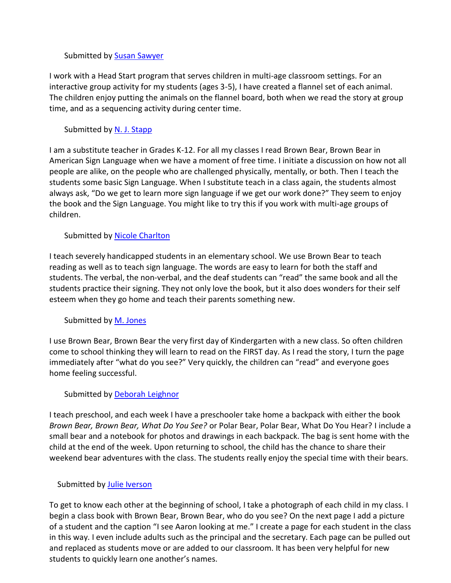#### Submitted by **Susan Sawyer**

I work with a Head Start program that serves children in multi-age classroom settings. For an interactive group activity for my students (ages 3-5), I have created a flannel set of each animal. The children enjoy putting the animals on the flannel board, both when we read the story at group time, and as a sequencing activity during center time.

#### Submitted by [N. J. Stapp](mailto:stappie@uswest.net)

I am a substitute teacher in Grades K-12. For all my classes I read Brown Bear, Brown Bear in American Sign Language when we have a moment of free time. I initiate a discussion on how not all people are alike, on the people who are challenged physically, mentally, or both. Then I teach the students some basic Sign Language. When I substitute teach in a class again, the students almost always ask, "Do we get to learn more sign language if we get our work done?" They seem to enjoy the book and the Sign Language. You might like to try this if you work with multi-age groups of children.

#### Submitted by [Nicole Charlton](mailto:ncharlto@bcoe.butte.k12.ca.us)

I teach severely handicapped students in an elementary school. We use Brown Bear to teach reading as well as to teach sign language. The words are easy to learn for both the staff and students. The verbal, the non-verbal, and the deaf students can "read" the same book and all the students practice their signing. They not only love the book, but it also does wonders for their self esteem when they go home and teach their parents something new.

#### Submitted by [M. Jones](mailto:MJones0321@aol.com)

I use Brown Bear, Brown Bear the very first day of Kindergarten with a new class. So often children come to school thinking they will learn to read on the FIRST day. As I read the story, I turn the page immediately after "what do you see?" Very quickly, the children can "read" and everyone goes home feeling successful.

#### Submitted by [Deborah](mailto:debbie@leighnor.dslonramp.com) Leighnor

I teach preschool, and each week I have a preschooler take home a backpack with either the book *Brown Bear, Brown Bear, What Do You See?* or Polar Bear, Polar Bear, What Do You Hear? I include a small bear and a notebook for photos and drawings in each backpack. The bag is sent home with the child at the end of the week. Upon returning to school, the child has the chance to share their weekend bear adventures with the class. The students really enjoy the special time with their bears.

#### Submitted by Julie [Iverson](mailto:ltrinci@northeast.k12.vt.us)

To get to know each other at the beginning of school, I take a photograph of each child in my class. I begin a class book with Brown Bear, Brown Bear, who do you see? On the next page I add a picture of a student and the caption "I see Aaron looking at me." I create a page for each student in the class in this way. I even include adults such as the principal and the secretary. Each page can be pulled out and replaced as students move or are added to our classroom. It has been very helpful for new students to quickly learn one another's names.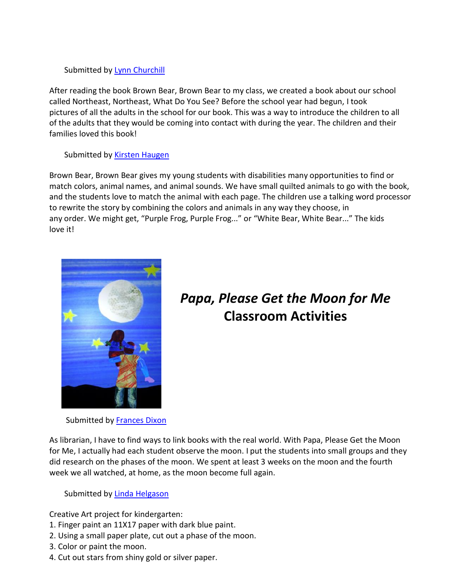#### Submitted by [Lynn Churchill](mailto:ltrinci@northeast.k12.vt.us)

After reading the book Brown Bear, Brown Bear to my class, we created a book about our school called Northeast, Northeast, What Do You See? Before the school year had begun, I took pictures of all the adults in the school for our book. This was a way to introduce the children to all of the adults that they would be coming into contact with during the year. The children and their families loved this book!

#### Submitted by [Kirsten Haugen](mailto:khaugen@afn.org)

Brown Bear, Brown Bear gives my young students with disabilities many opportunities to find or match colors, animal names, and animal sounds. We have small quilted animals to go with the book, and the students love to match the animal with each page. The children use a talking word processor to rewrite the story by combining the colors and animals in any way they choose, in any order. We might get, "Purple Frog, Purple Frog..." or "White Bear, White Bear..." The kids love it!



# *Papa, Please Get the Moon for Me*  **Classroom Activities**

Submitted b[y Frances Dixon](mailto:fdixon@mccreary.k12.ky.us)

As librarian, I have to find ways to link books with the real world. With Papa, Please Get the Moon for Me, I actually had each student observe the moon. I put the students into small groups and they did research on the phases of the moon. We spent at least 3 weeks on the moon and the fourth week we all watched, at home, as the moon become full again.

Submitted by **Linda [Helgason](mailto:blhelgason@sk.sympatico.ca)** 

Creative Art project for kindergarten:

- 1. Finger paint an 11X17 paper with dark blue paint.
- 2. Using a small paper plate, cut out a phase of the moon.
- 3. Color or paint the moon.
- 4. Cut out stars from shiny gold or silver paper.